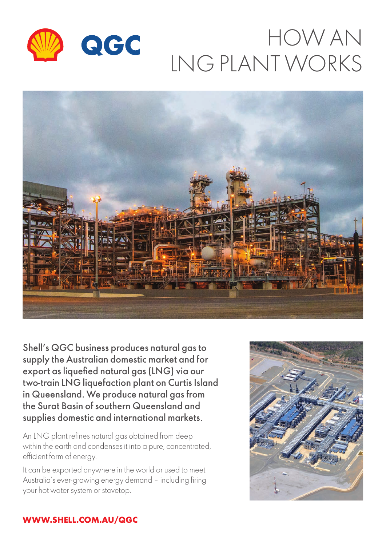

# HOW AN LNG PLANT WORKS



Shell's QGC business produces natural gas to supply the Australian domestic market and for export as liquefied natural gas (LNG) via our two-train LNG liquefaction plant on Curtis Island in Queensland. We produce natural gas from the Surat Basin of southern Queensland and supplies domestic and international markets.

An LNG plant refines natural gas obtained from deep within the earth and condenses it into a pure, concentrated, efficient form of energy.

It can be exported anywhere in the world or used to meet Australia's ever-growing energy demand – including firing your hot water system or stovetop.



## **WWW.SHELL.COM.AU/QGC**